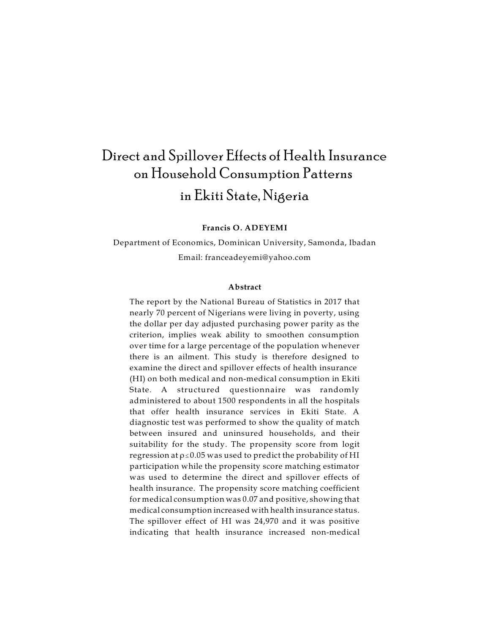# Direct and Spillover Effects of Health Insurance on Household Consumption Patterns in Ekiti State, Nigeria

**Francis O. ADEYEMI**

Department of Economics, Dominican University, Samonda, Ibadan Email: franceadeyemi@yahoo.com

#### **Abstract**

The report by the National Bureau of Statistics in 2017 that nearly 70 percent of Nigerians were living in poverty, using the dollar per day adjusted purchasing power parity as the criterion, implies weak ability to smoothen consumption over time for a large percentage of the population whenever there is an ailment. This study is therefore designed to examine the direct and spillover effects of health insurance (HI) on both medical and non-medical consumption in Ekiti State. A structured questionnaire was randomly administered to about 1500 respondents in all the hospitals that offer health insurance services in Ekiti State. A diagnostic test was performed to show the quality of match between insured and uninsured households, and their suitability for the study. The propensity score from logit regression at  $\rho \le 0.05$  was used to predict the probability of HI participation while the propensity score matching estimator was used to determine the direct and spillover effects of health insurance. The propensity score matching coefficient for medical consumption was 0.07 and positive, showing that medical consumption increased with health insurance status. The spillover effect of HI was 24,970 and it was positive indicating that health insurance increased non-medical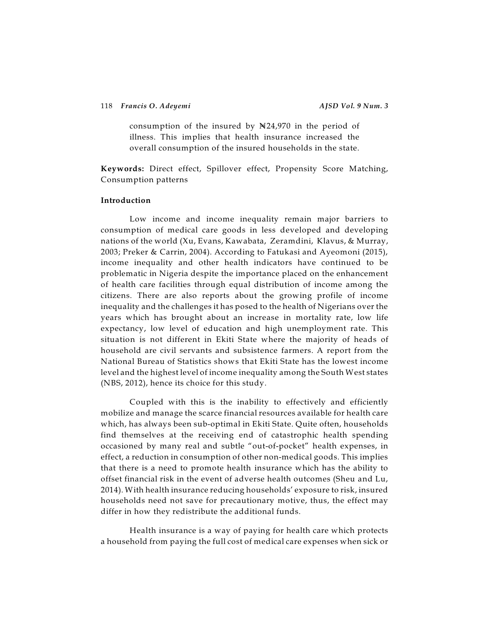consumption of the insured by  $N24,970$  in the period of illness. This implies that health insurance increased the overall consumption of the insured households in the state.

**Keywords:** Direct effect, Spillover effect, Propensity Score Matching, Consumption patterns

#### **Introduction**

Low income and income inequality remain major barriers to consumption of medical care goods in less developed and developing nations of the world (Xu, Evans, Kawabata, Zeramdini, Klavus, & Murray, 2003; Preker & Carrin, 2004). According to Fatukasi and Ayeomoni (2015), income inequality and other health indicators have continued to be problematic in Nigeria despite the importance placed on the enhancement of health care facilities through equal distribution of income among the citizens. There are also reports about the growing profile of income inequality and the challenges it has posed to the health of Nigerians over the years which has brought about an increase in mortality rate, low life expectancy, low level of education and high unemployment rate. This situation is not different in Ekiti State where the majority of heads of household are civil servants and subsistence farmers. A report from the National Bureau of Statistics shows that Ekiti State has the lowest income level and the highest level of income inequality among the South West states (NBS, 2012), hence its choice for this study.

Coupled with this is the inability to effectively and efficiently mobilize and manage the scarce financial resources available for health care which, has always been sub-optimal in Ekiti State. Quite often, households find themselves at the receiving end of catastrophic health spending occasioned by many real and subtle "out-of-pocket" health expenses, in effect, a reduction in consumption of other non-medical goods. This implies that there is a need to promote health insurance which has the ability to offset financial risk in the event of adverse health outcomes (Sheu and Lu, 2014). With health insurance reducing households' exposure to risk, insured households need not save for precautionary motive, thus, the effect may differ in how they redistribute the additional funds.

Health insurance is a way of paying for health care which protects a household from paying the full cost of medical care expenses when sick or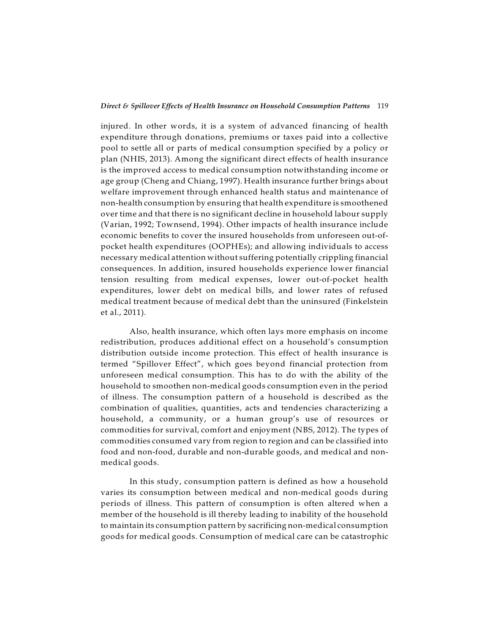#### *Direct & Spillover Effects of Health Insurance on Household Consumption Patterns* 119

injured. In other words, it is a system of advanced financing of health expenditure through donations, premiums or taxes paid into a collective pool to settle all or parts of medical consumption specified by a policy or plan (NHIS, 2013). Among the significant direct effects of health insurance is the improved access to medical consumption notwithstanding income or age group (Cheng and Chiang, 1997). Health insurance further brings about welfare improvement through enhanced health status and maintenance of non-health consumption by ensuring that health expenditure is smoothened over time and that there is no significant decline in household labour supply (Varian, 1992; Townsend, 1994). Other impacts of health insurance include economic benefits to cover the insured households from unforeseen out-ofpocket health expenditures (OOPHEs); and allowing individuals to access necessary medical attention without suffering potentially crippling financial consequences. In addition, insured households experience lower financial tension resulting from medical expenses, lower out-of-pocket health expenditures, lower debt on medical bills, and lower rates of refused medical treatment because of medical debt than the uninsured (Finkelstein et al., 2011).

Also, health insurance, which often lays more emphasis on income redistribution, produces additional effect on a household's consumption distribution outside income protection. This effect of health insurance is termed "Spillover Effect", which goes beyond financial protection from unforeseen medical consumption. This has to do with the ability of the household to smoothen non-medical goods consumption even in the period of illness. The consumption pattern of a household is described as the combination of qualities, quantities, acts and tendencies characterizing a household, a community, or a human group's use of resources or commodities for survival, comfort and enjoyment (NBS, 2012). The types of commodities consumed vary from region to region and can be classified into food and non-food, durable and non-durable goods, and medical and nonmedical goods.

In this study, consumption pattern is defined as how a household varies its consumption between medical and non-medical goods during periods of illness. This pattern of consumption is often altered when a member of the household is ill thereby leading to inability of the household to maintain its consumption pattern by sacrificing non-medical consumption goods for medical goods. Consumption of medical care can be catastrophic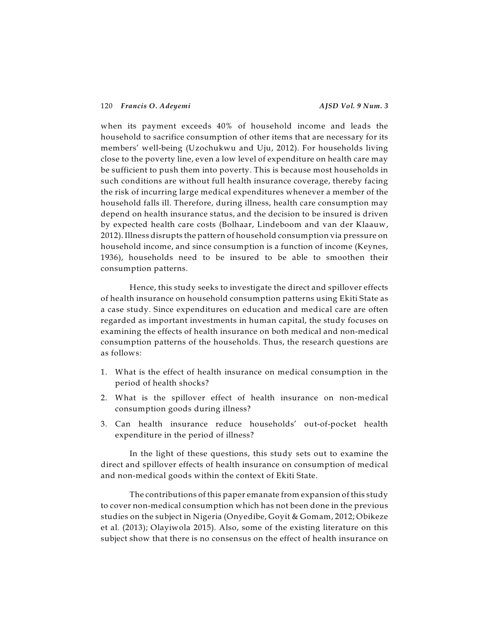when its payment exceeds 40% of household income and leads the household to sacrifice consumption of other items that are necessary for its members' well-being (Uzochukwu and Uju, 2012). For households living close to the poverty line, even a low level of expenditure on health care may be sufficient to push them into poverty. This is because most households in such conditions are without full health insurance coverage, thereby facing the risk of incurring large medical expenditures whenever a member of the household falls ill. Therefore, during illness, health care consumption may depend on health insurance status, and the decision to be insured is driven by expected health care costs (Bolhaar, Lindeboom and van der Klaauw, 2012). Illness disrupts the pattern of household consumption via pressure on household income, and since consumption is a function of income (Keynes, 1936), households need to be insured to be able to smoothen their consumption patterns.

Hence, this study seeks to investigate the direct and spillover effects of health insurance on household consumption patterns using Ekiti State as a case study. Since expenditures on education and medical care are often regarded as important investments in human capital, the study focuses on examining the effects of health insurance on both medical and non-medical consumption patterns of the households. Thus, the research questions are as follows:

- 1. What is the effect of health insurance on medical consumption in the period of health shocks?
- 2. What is the spillover effect of health insurance on non-medical consumption goods during illness?
- 3. Can health insurance reduce households' out-of-pocket health expenditure in the period of illness?

In the light of these questions, this study sets out to examine the direct and spillover effects of health insurance on consumption of medical and non-medical goods within the context of Ekiti State.

The contributions of this paper emanate from expansion of this study to cover non-medical consumption which has not been done in the previous studies on the subject in Nigeria (Onyedibe, Goyit & Gomam, 2012; Obikeze et al. (2013); Olayiwola 2015). Also, some of the existing literature on this subject show that there is no consensus on the effect of health insurance on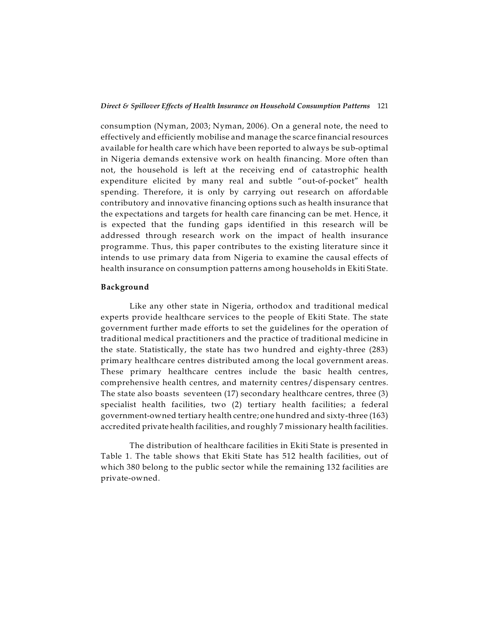consumption (Nyman, 2003; Nyman, 2006). On a general note, the need to effectively and efficiently mobilise and manage the scarce financial resources available for health care which have been reported to always be sub-optimal in Nigeria demands extensive work on health financing. More often than not, the household is left at the receiving end of catastrophic health expenditure elicited by many real and subtle "out-of-pocket" health spending. Therefore, it is only by carrying out research on affordable contributory and innovative financing options such as health insurance that the expectations and targets for health care financing can be met. Hence, it is expected that the funding gaps identified in this research will be addressed through research work on the impact of health insurance programme. Thus, this paper contributes to the existing literature since it intends to use primary data from Nigeria to examine the causal effects of health insurance on consumption patterns among households in Ekiti State.

#### **Background**

Like any other state in Nigeria, orthodox and traditional medical experts provide healthcare services to the people of Ekiti State. The state government further made efforts to set the guidelines for the operation of traditional medical practitioners and the practice of traditional medicine in the state. Statistically, the state has two hundred and eighty-three (283) primary healthcare centres distributed among the local government areas. These primary healthcare centres include the basic health centres, comprehensive health centres, and maternity centres/dispensary centres. The state also boasts seventeen (17) secondary healthcare centres, three (3) specialist health facilities, two (2) tertiary health facilities; a federal government-owned tertiary health centre; one hundred and sixty-three (163) accredited private health facilities, and roughly 7 missionary health facilities.

The distribution of healthcare facilities in Ekiti State is presented in Table 1. The table shows that Ekiti State has 512 health facilities, out of which 380 belong to the public sector while the remaining 132 facilities are private-owned.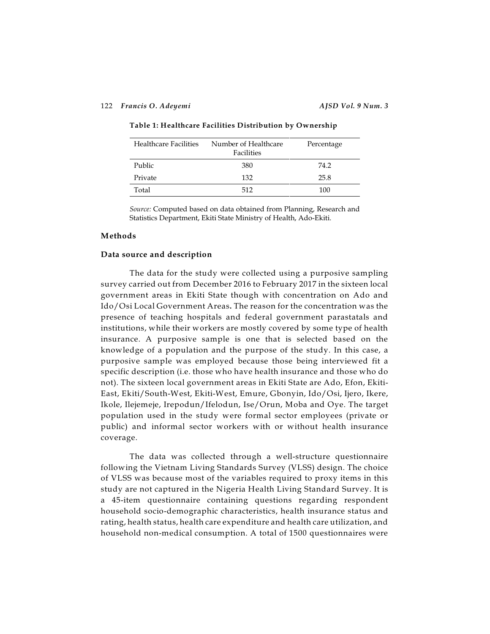| <b>Healthcare Facilities</b> | Number of Healthcare<br>Facilities | Percentage |
|------------------------------|------------------------------------|------------|
| Public                       | 380                                | 74.2       |
| Private                      | 132                                | 25.8       |
| Total                        | 512                                | 100        |

**Table 1: Healthcare Facilities Distribution by Ownership**

*Source:* Computed based on data obtained from Planning, Research and Statistics Department, Ekiti State Ministry of Health, Ado-Ekiti.

#### **Methods**

#### **Data source and description**

The data for the study were collected using a purposive sampling survey carried out from December 2016 to February 2017 in the sixteen local government areas in Ekiti State though with concentration on Ado and Ido/Osi Local Government Areas**.** The reason for the concentration was the presence of teaching hospitals and federal government parastatals and institutions, while their workers are mostly covered by some type of health insurance. A purposive sample is one that is selected based on the knowledge of a population and the purpose of the study. In this case, a purposive sample was employed because those being interviewed fit a specific description (i.e. those who have health insurance and those who do not). The sixteen local government areas in Ekiti State are Ado, Efon, Ekiti-East, Ekiti/South-West, Ekiti-West, Emure, Gbonyin, Ido/Osi, Ijero, Ikere, Ikole, Ilejemeje, Irepodun/Ifelodun, Ise/Orun, Moba and Oye. The target population used in the study were formal sector employees (private or public) and informal sector workers with or without health insurance coverage.

The data was collected through a well-structure questionnaire following the Vietnam Living Standards Survey (VLSS) design. The choice of VLSS was because most of the variables required to proxy items in this study are not captured in the Nigeria Health Living Standard Survey. It is a 45-item questionnaire containing questions regarding respondent household socio-demographic characteristics, health insurance status and rating, health status, health care expenditure and health care utilization, and household non-medical consumption. A total of 1500 questionnaires were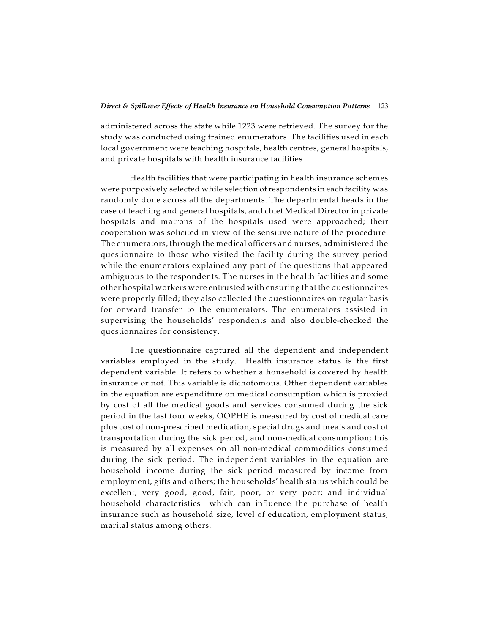#### *Direct & Spillover Effects of Health Insurance on Household Consumption Patterns* 123

administered across the state while 1223 were retrieved. The survey for the study was conducted using trained enumerators. The facilities used in each local government were teaching hospitals, health centres, general hospitals, and private hospitals with health insurance facilities

Health facilities that were participating in health insurance schemes were purposively selected while selection ofrespondents in each facility was randomly done across all the departments. The departmental heads in the case of teaching and general hospitals, and chief Medical Director in private hospitals and matrons of the hospitals used were approached; their cooperation was solicited in view of the sensitive nature of the procedure. The enumerators, through the medical officers and nurses, administered the questionnaire to those who visited the facility during the survey period while the enumerators explained any part of the questions that appeared ambiguous to the respondents. The nurses in the health facilities and some other hospital workers were entrusted with ensuring that the questionnaires were properly filled; they also collected the questionnaires on regular basis for onward transfer to the enumerators. The enumerators assisted in supervising the households' respondents and also double-checked the questionnaires for consistency.

The questionnaire captured all the dependent and independent variables employed in the study. Health insurance status is the first dependent variable. It refers to whether a household is covered by health insurance or not. This variable is dichotomous. Other dependent variables in the equation are expenditure on medical consumption which is proxied by cost of all the medical goods and services consumed during the sick period in the last four weeks, OOPHE is measured by cost of medical care plus cost of non-prescribed medication, special drugs and meals and cost of transportation during the sick period, and non-medical consumption; this is measured by all expenses on all non-medical commodities consumed during the sick period. The independent variables in the equation are household income during the sick period measured by income from employment, gifts and others; the households' health status which could be excellent, very good, good, fair, poor, or very poor; and individual household characteristics which can influence the purchase of health insurance such as household size, level of education, employment status, marital status among others.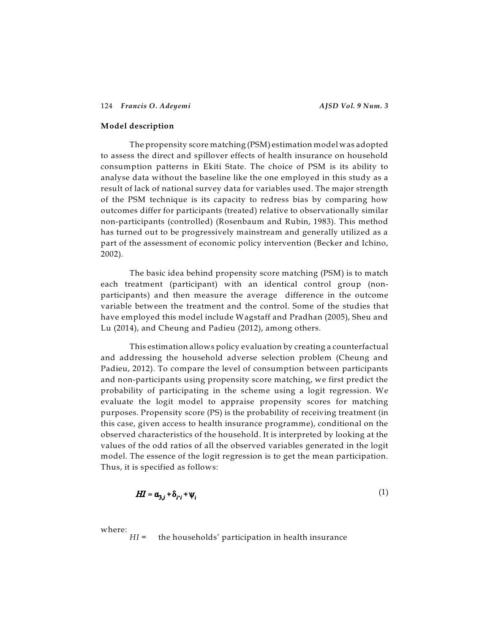#### **Model description**

The propensity score matching (PSM) estimation model was adopted to assess the direct and spillover effects of health insurance on household consumption patterns in Ekiti State. The choice of PSM is its ability to analyse data without the baseline like the one employed in this study as a result of lack of national survey data for variables used. The major strength of the PSM technique is its capacity to redress bias by comparing how outcomes differ for participants (treated) relative to observationally similar non-participants (controlled) (Rosenbaum and Rubin, 1983). This method has turned out to be progressively mainstream and generally utilized as a part of the assessment of economic policy intervention (Becker and Ichino, 2002).

The basic idea behind propensity score matching (PSM) is to match each treatment (participant) with an identical control group (nonparticipants) and then measure the average difference in the outcome variable between the treatment and the control. Some of the studies that have employed this model include Wagstaff and Pradhan (2005), Sheu and Lu (2014), and Cheung and Padieu (2012), among others.

This estimation allows policy evaluation by creating a counterfactual and addressing the household adverse selection problem (Cheung and Padieu, 2012). To compare the level of consumption between participants and non-participants using propensity score matching, we first predict the probability of participating in the scheme using a logit regression. We evaluate the logit model to appraise propensity scores for matching purposes. Propensity score (PS) is the probability of receiving treatment (in this case, given access to health insurance programme), conditional on the observed characteristics of the household. It is interpreted by looking at the values of the odd ratios of all the observed variables generated in the logit model. The essence of the logit regression is to get the mean participation. Thus, it is specified as follows:

$$
H I = \alpha_{3,i} + \delta_{i'i} + \psi_i \tag{1}
$$

where:

*HI* = the households' participation in health insurance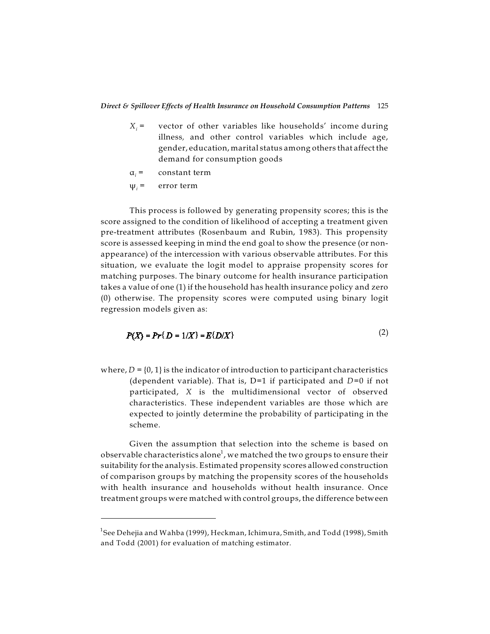- $X_i$  = vector of other variables like households' income during illness*,* and other control variables which include age, gender, education, marital status among others that affect the demand for consumption goods
- á*<sup>i</sup>* = constant term
- $\psi_i$  = error term

This process is followed by generating propensity scores; this is the score assigned to the condition of likelihood of accepting a treatment given pre-treatment attributes (Rosenbaum and Rubin, 1983). This propensity score is assessed keeping in mind the end goal to show the presence (or nonappearance) of the intercession with various observable attributes. For this situation, we evaluate the logit model to appraise propensity scores for matching purposes. The binary outcome for health insurance participation takes a value of one (1) if the household has health insurance policy and zero (0) otherwise. The propensity scores were computed using binary logit regression models given as:

$$
P(X) = Pr\{D = 1/X\} = E\{D/X\}
$$
 (2)

where,  $D = \{0, 1\}$  is the indicator of introduction to participant characteristics (dependent variable). That is, D=1 if participated and *D*=0 if not participated, *X* is the multidimensional vector of observed characteristics. These independent variables are those which are expected to jointly determine the probability of participating in the scheme.

Given the assumption that selection into the scheme is based on observable characteristics alone $^1$ , we matched the two groups to ensure their suitability for the analysis. Estimated propensity scores allowed construction of comparison groups by matching the propensity scores of the households with health insurance and households without health insurance. Once treatment groups were matched with control groups, the difference between

 $^{\rm 1}$ See Dehejia and Wahba (1999), Heckman, Ichimura, Smith, and Todd (1998), Smith and Todd (2001) for evaluation of matching estimator.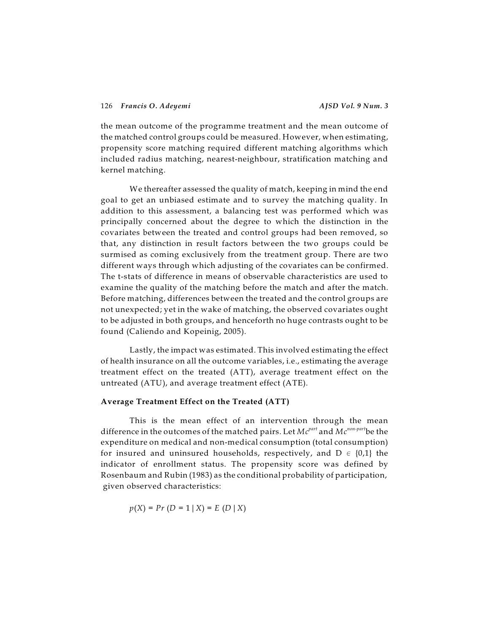the mean outcome of the programme treatment and the mean outcome of the matched control groups could be measured. However, when estimating, propensity score matching required different matching algorithms which included radius matching, nearest-neighbour, stratification matching and kernel matching.

We thereafter assessed the quality of match, keeping in mind the end goal to get an unbiased estimate and to survey the matching quality. In addition to this assessment, a balancing test was performed which was principally concerned about the degree to which the distinction in the covariates between the treated and control groups had been removed, so that, any distinction in result factors between the two groups could be surmised as coming exclusively from the treatment group. There are two different ways through which adjusting of the covariates can be confirmed. The t-stats of difference in means of observable characteristics are used to examine the quality of the matching before the match and after the match. Before matching, differences between the treated and the control groups are not unexpected; yet in the wake of matching, the observed covariates ought to be adjusted in both groups, and henceforth no huge contrasts ought to be found (Caliendo and Kopeinig, 2005).

Lastly, the impact was estimated. This involved estimating the effect of health insurance on all the outcome variables, i.e., estimating the average treatment effect on the treated (ATT), average treatment effect on the untreated (ATU), and average treatment effect (ATE).

# **Average Treatment Effect on the Treated (ATT)**

This is the mean effect of an intervention through the mean difference in the outcomes of the matched pairs. Let  $Mc^{part}$  and  $Mc^{non-part}$ be the expenditure on medical and non-medical consumption (total consumption) for insured and uninsured households, respectively, and  $D \in \{0,1\}$  the indicator of enrollment status. The propensity score was defined by Rosenbaum and Rubin (1983) as the conditional probability of participation, given observed characteristics:

$$
p(X) = Pr(D = 1 | X) = E(D | X)
$$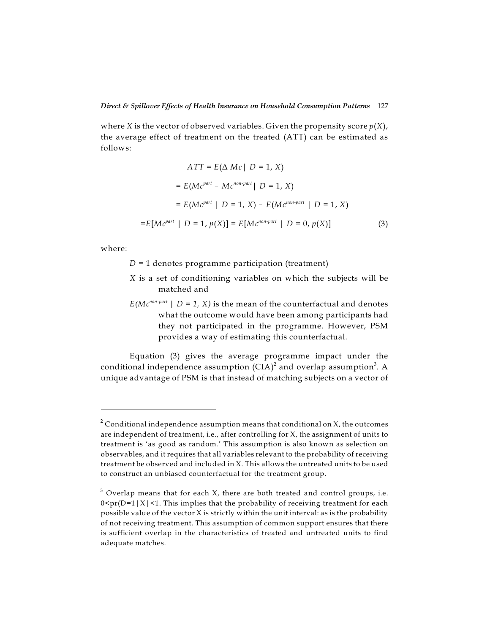where *X* is the vector of observed variables. Given the propensity score  $p(X)$ , the average effect of treatment on the treated (ATT) can be estimated as follows:

$$
ATT = E(\Delta \; Mc \mid D = 1, \; X)
$$
  
=  $E(Mc^{part} - Mc^{non-part} \mid D = 1, \; X)$   
=  $E(Mc^{part} \mid D = 1, \; X) - E(Mc^{non-part} \mid D = 1, \; X)$   
=  $E[Mc^{part} \mid D = 1, \; p(X)] = E[Mc^{non-part} \mid D = 0, \; p(X)]$  (3)

where:

*D* = 1 denotes programme participation (treatment)

- *×* is a set of conditioning variables on which the subjects will be matched and
- $E(Mc^{non-part} \mid D = 1, X)$  is the mean of the counterfactual and denotes what the outcome would have been among participants had they not participated in the programme. However, PSM provides a way of estimating this counterfactual.

Equation (3) gives the average programme impact under the conditional independence assumption (CIA) $^{\rm 2}$  and overlap assumption $^{\rm 3}$ . A unique advantage of PSM is that instead of matching subjects on a vector of

 $^2$  Conditional independence assumption means that conditional on X, the outcomes are independent of treatment, i.e., after controlling for X, the assignment of units to treatment is 'as good as random.' This assumption is also known as selection on observables, and it requires that all variables relevant to the probability of receiving treatment be observed and included in X. This allows the untreated units to be used to construct an unbiased counterfactual for the treatment group.

 $^3$  Overlap means that for each X, there are both treated and control groups, i.e.  $0 \leq p$ r(D=1|X|<1. This implies that the probability of receiving treatment for each possible value of the vector  $X$  is strictly within the unit interval: as is the probability of not receiving treatment. This assumption of common support ensures that there is sufficient overlap in the characteristics of treated and untreated units to find adequate matches.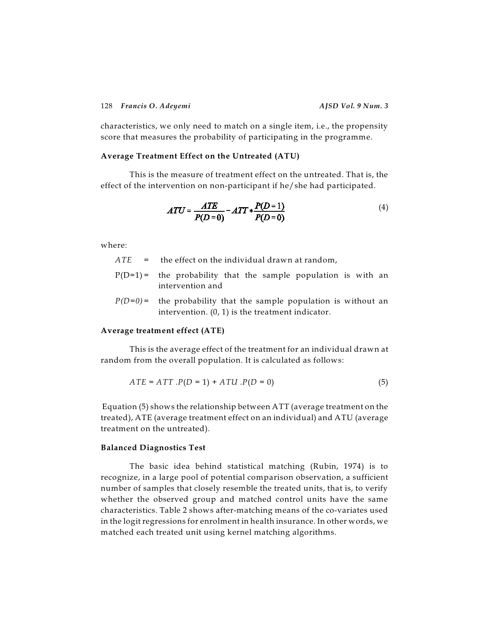characteristics, we only need to match on a single item, i.e., the propensity score that measures the probability of participating in the programme.

#### **Average Treatment Effect on the Untreated (ATU)**

This is the measure of treatment effect on the untreated. That is, the effect of the intervention on non-participant if he/she had participated.

$$
ATU = \frac{ATE}{P(D=0)} - ATT * \frac{P(D=1)}{P(D=0)}
$$
(4)

where:

*ATE* = the effect on the individual drawn at random,

- $P(D=1)$  = the probability that the sample population is with an intervention and
- $P(D=0)$  = the probability that the sample population is without an intervention. (0, 1) is the treatment indicator.

### **Average treatment effect (ATE)**

This is the average effect of the treatment for an individual drawn at random from the overall population. It is calculated as follows:

$$
ATE = ATT \cdot P(D = 1) + ATU \cdot P(D = 0) \tag{5}
$$

Equation (5) shows the relationship between ATT (average treatment on the treated), ATE (average treatment effect on an individual) and ATU (average treatment on the untreated).

#### **Balanced Diagnostics Test**

The basic idea behind statistical matching (Rubin, 1974) is to recognize, in a large pool of potential comparison observation, a sufficient number of samples that closely resemble the treated units, that is, to verify whether the observed group and matched control units have the same characteristics. Table 2 shows after-matching means of the co-variates used in the logit regressions for enrolment in health insurance. In other words, we matched each treated unit using kernel matching algorithms.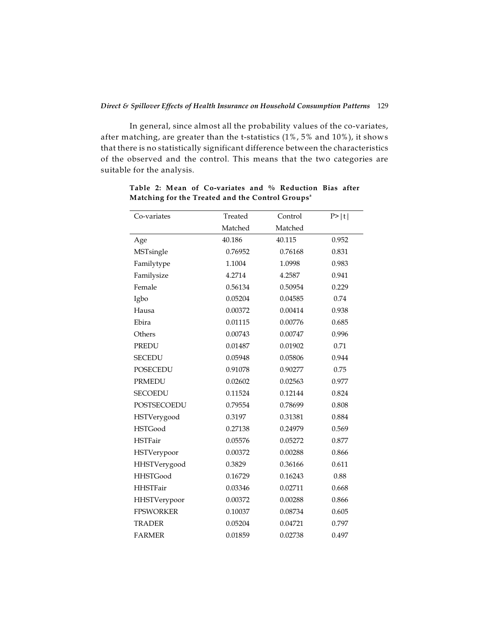In general, since almost all the probability values of the co-variates, after matching, are greater than the t-statistics (1%, 5% and 10%), it shows that there is no statistically significant difference between the characteristics of the observed and the control. This means that the two categories are suitable for the analysis.

| Co-variates      | Treated | Control | P> t  |
|------------------|---------|---------|-------|
|                  | Matched | Matched |       |
| Age              | 40.186  | 40.115  | 0.952 |
| MSTsingle        | 0.76952 | 0.76168 | 0.831 |
| Familytype       | 1.1004  | 1.0998  | 0.983 |
| Familysize       | 4.2714  | 4.2587  | 0.941 |
| Female           | 0.56134 | 0.50954 | 0.229 |
| Igbo             | 0.05204 | 0.04585 | 0.74  |
| Hausa            | 0.00372 | 0.00414 | 0.938 |
| Ebira            | 0.01115 | 0.00776 | 0.685 |
| Others           | 0.00743 | 0.00747 | 0.996 |
| <b>PREDU</b>     | 0.01487 | 0.01902 | 0.71  |
| <b>SECEDU</b>    | 0.05948 | 0.05806 | 0.944 |
| <b>POSECEDU</b>  | 0.91078 | 0.90277 | 0.75  |
| <b>PRMEDU</b>    | 0.02602 | 0.02563 | 0.977 |
| <b>SECOEDU</b>   | 0.11524 | 0.12144 | 0.824 |
| POSTSECOEDU      | 0.79554 | 0.78699 | 0.808 |
| HSTVerygood      | 0.3197  | 0.31381 | 0.884 |
| <b>HSTGood</b>   | 0.27138 | 0.24979 | 0.569 |
| <b>HSTFair</b>   | 0.05576 | 0.05272 | 0.877 |
| HSTVerypoor      | 0.00372 | 0.00288 | 0.866 |
| HHSTVerygood     | 0.3829  | 0.36166 | 0.611 |
| <b>HHSTGood</b>  | 0.16729 | 0.16243 | 0.88  |
| <b>HHSTFair</b>  | 0.03346 | 0.02711 | 0.668 |
| HHSTVerypoor     | 0.00372 | 0.00288 | 0.866 |
| <b>FPSWORKER</b> | 0.10037 | 0.08734 | 0.605 |
| <b>TRADER</b>    | 0.05204 | 0.04721 | 0.797 |
| <b>FARMER</b>    | 0.01859 | 0.02738 | 0.497 |

**Table 2: Mean of Co-variates and % Reduction Bias after Matching for the Treated and the Control Groups a**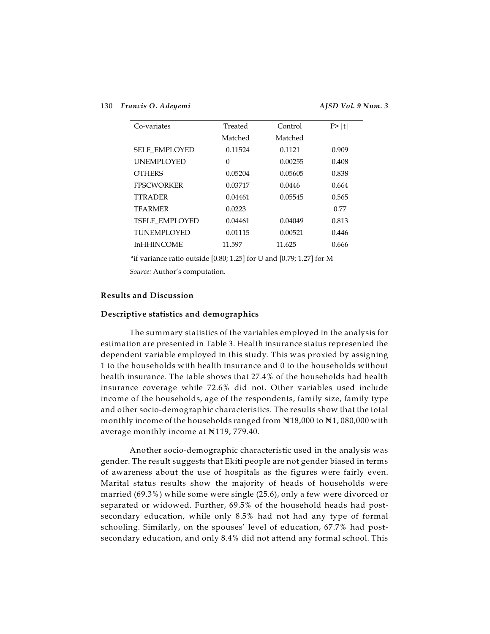| Co-variates           | Treated | Control | P >  t |
|-----------------------|---------|---------|--------|
|                       | Matched | Matched |        |
| <b>SELF EMPLOYED</b>  | 0.11524 | 0.1121  | 0.909  |
| <b>UNEMPLOYED</b>     | 0       | 0.00255 | 0.408  |
| <b>OTHERS</b>         | 0.05204 | 0.05605 | 0.838  |
| <b>FPSCWORKER</b>     | 0.03717 | 0.0446  | 0.664  |
| <b>TTRADER</b>        | 0.04461 | 0.05545 | 0.565  |
| <b>TFARMER</b>        | 0.0223  |         | 0.77   |
| <b>TSELF EMPLOYED</b> | 0.04461 | 0.04049 | 0.813  |
| <b>TUNEMPLOYED</b>    | 0.01115 | 0.00521 | 0.446  |
| <b>InHHINCOME</b>     | 11.597  | 11.625  | 0.666  |

**a** if variance ratio outside [0.80; 1.25] for U and [0.79; 1.27] for M

*Source:* Author's computation.

#### **Results and Discussion**

#### **Descriptive statistics and demographics**

The summary statistics of the variables employed in the analysis for estimation are presented in Table 3. Health insurance status represented the dependent variable employed in this study. This was proxied by assigning 1 to the households with health insurance and 0 to the households without health insurance. The table shows that 27.4% of the households had health insurance coverage while 72.6% did not. Other variables used include income of the households, age of the respondents, family size, family type and other socio-demographic characteristics. The results show that the total monthly income of the households ranged from  $N18,000$  to  $N1,080,000$  with average monthly income at N119, 779.40.

Another socio-demographic characteristic used in the analysis was gender. The result suggests that Ekiti people are not gender biased in terms of awareness about the use of hospitals as the figures were fairly even. Marital status results show the majority of heads of households were married (69.3%) while some were single (25.6), only a few were divorced or separated or widowed. Further, 69.5% of the household heads had postsecondary education, while only 8.5% had not had any type of formal schooling. Similarly, on the spouses' level of education, 67.7% had postsecondary education, and only 8.4% did not attend any formal school. This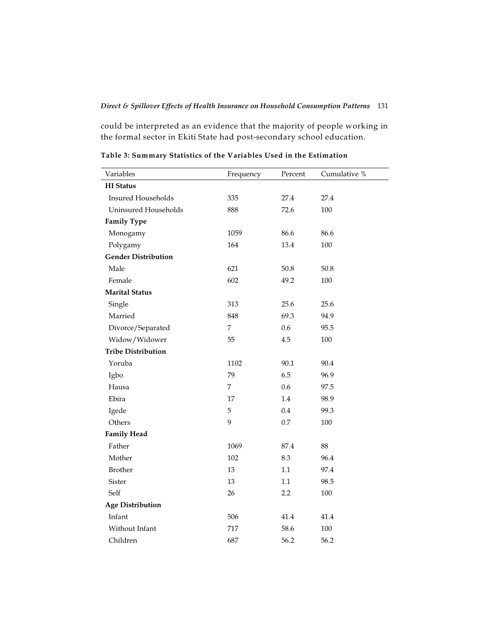could be interpreted as an evidence that the majority of people working in the formal sector in Ekiti State had post-secondary school education.

| Variables                  | Frequency      | Percent  | Cumulative % |
|----------------------------|----------------|----------|--------------|
| <b>HI</b> Status           |                |          |              |
| <b>Insured Households</b>  | 335            | 27.4     | 27.4         |
| Uninsured Households       | 888            | 72.6     | 100          |
| <b>Family Type</b>         |                |          |              |
| Monogamy                   | 1059           | 86.6     | 86.6         |
| Polygamy                   | 164            | 13.4     | 100          |
| <b>Gender Distribution</b> |                |          |              |
| Male                       | 621            | 50.8     | 50.8         |
| Female                     | 602            | 49.2     | 100          |
| <b>Marital Status</b>      |                |          |              |
| Single                     | 313            | 25.6     | 25.6         |
| Married                    | 848            | 69.3     | 94.9         |
| Divorce/Separated          | $\overline{7}$ | 0.6      | 95.5         |
| Widow/Widower              | 55             | 4.5      | 100          |
| <b>Tribe Distribution</b>  |                |          |              |
| Yoruba                     | 1102           | 90.1     | 90.4         |
| Igbo                       | 79             | 6.5      | 96.9         |
| Hausa                      | 7              | 0.6      | 97.5         |
| Ebira                      | 17             | 1.4      | 98.9         |
| Igede                      | 5              | 0.4      | 99.3         |
| Others                     | 9              | 0.7      | 100          |
| <b>Family Head</b>         |                |          |              |
| Father                     | 1069           | $87.4\,$ | 88           |
| Mother                     | 102            | 8.3      | 96.4         |
| <b>Brother</b>             | 13             | 1.1      | 97.4         |
| Sister                     | 13             | 1.1      | 98.5         |
| Self                       | 26             | 2.2      | 100          |
| <b>Age Distribution</b>    |                |          |              |
| Infant                     | 506            | 41.4     | 41.4         |
| Without Infant             | 717            | 58.6     | 100          |
| Children                   | 687            | 56.2     | 56.2         |

**Table 3: Summary Statistics of the Variables Used in the Estimation**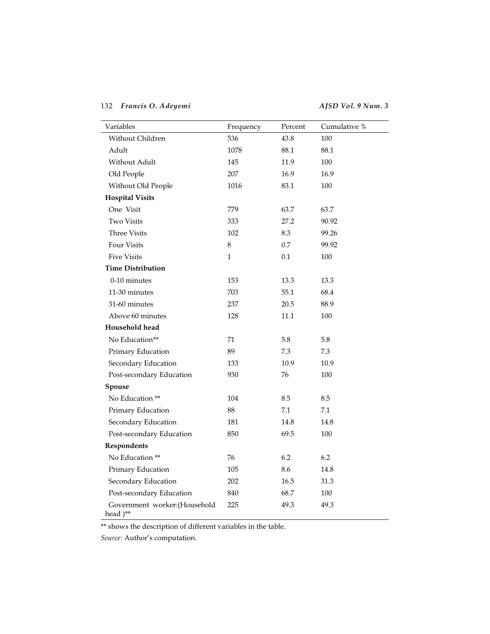| Variables                                | Frequency    | Percent | Cumulative % |
|------------------------------------------|--------------|---------|--------------|
| Without Children                         | 536          | 43.8    | 100          |
| Adult                                    | 1078         | 88.1    | 88.1         |
| Without Adult                            | 145          | 11.9    | 100          |
| Old People                               | 207          | 16.9    | 16.9         |
| Without Old People                       | 1016         | 83.1    | 100          |
| <b>Hospital Visits</b>                   |              |         |              |
| One Visit                                | 779          | 63.7    | 63.7         |
| <b>Two Visits</b>                        | 333          | 27.2    | 90.92        |
| <b>Three Visits</b>                      | 102          | 8.3     | 99.26        |
| Four Visits                              | 8            | 0.7     | 99.92        |
| <b>Five Visits</b>                       | $\mathbf{1}$ | 0.1     | 100          |
| <b>Time Distribution</b>                 |              |         |              |
| 0-10 minutes                             | 153          | 13.3    | 13.3         |
| 11-30 minutes                            | 703          | 55.1    | 68.4         |
| 31-60 minutes                            | 237          | 20.5    | 88.9         |
| Above 60 minutes                         | 128          | 11.1    | 100          |
| Household head                           |              |         |              |
| No Education**                           | 71           | 5.8     | 5.8          |
| Primary Education                        | 89           | 7.3     | 7.3          |
| Secondary Education                      | 133          | 10.9    | 10.9         |
| Post-secondary Education                 | 930          | 76      | 100          |
| Spouse                                   |              |         |              |
| No Education **                          | 104          | 8.5     | 8.5          |
| Primary Education                        | 88           | 7.1     | 7.1          |
| Secondary Education                      | 181          | 14.8    | 14.8         |
| Post-secondary Education                 | 850          | 69.5    | 100          |
| Respondents                              |              |         |              |
| No Education **                          | 76           | 6.2     | 6.2          |
| Primary Education                        | 105          | 8.6     | 14.8         |
| Secondary Education                      | 202          | 16.5    | 31.3         |
| Post-secondary Education                 | 840          | 68.7    | 100          |
| Government worker: (Household<br>head)** | 225          | 49.3    | 49.3         |

 $\overline{\phantom{a}}^*$  shows the description of different variables in the table.

*Source:* Author's computation.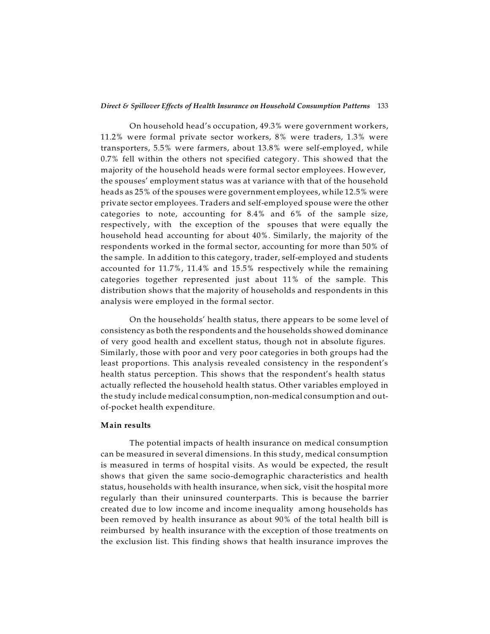#### *Direct & Spillover Effects of Health Insurance on Household Consumption Patterns* 133

On household head's occupation, 49.3% were government workers, 11.2% were formal private sector workers, 8% were traders, 1.3% were transporters, 5.5% were farmers, about 13.8% were self-employed, while 0.7% fell within the others not specified category. This showed that the majority of the household heads were formal sector employees. However, the spouses' employment status was at variance with that of the household heads as 25% of the spouses were government employees, while 12.5% were private sector employees. Traders and self-employed spouse were the other categories to note, accounting for 8.4% and 6% of the sample size, respectively, with the exception of the spouses that were equally the household head accounting for about 40%. Similarly, the majority of the respondents worked in the formal sector, accounting for more than 50% of the sample. In addition to this category, trader, self-employed and students accounted for 11.7%, 11.4% and 15.5% respectively while the remaining categories together represented just about 11% of the sample. This distribution shows that the majority of households and respondents in this analysis were employed in the formal sector.

On the households' health status, there appears to be some level of consistency as both the respondents and the households showed dominance of very good health and excellent status, though not in absolute figures. Similarly, those with poor and very poor categories in both groups had the least proportions. This analysis revealed consistency in the respondent's health status perception. This shows that the respondent's health status actually reflected the household health status. Other variables employed in the study include medical consumption, non-medical consumption and outof-pocket health expenditure.

#### **Main results**

The potential impacts of health insurance on medical consumption can be measured in several dimensions. In this study, medical consumption is measured in terms of hospital visits. As would be expected, the result shows that given the same socio-demographic characteristics and health status, households with health insurance, when sick, visit the hospital more regularly than their uninsured counterparts. This is because the barrier created due to low income and income inequality among households has been removed by health insurance as about 90% of the total health bill is reimbursed by health insurance with the exception of those treatments on the exclusion list. This finding shows that health insurance improves the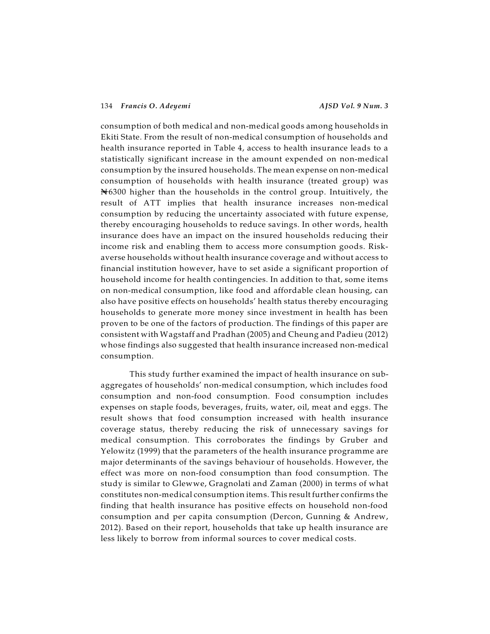consumption of both medical and non-medical goods among households in Ekiti State. From the result of non-medical consumption of households and health insurance reported in Table 4, access to health insurance leads to a statistically significant increase in the amount expended on non-medical consumption by the insured households. The mean expense on non-medical consumption of households with health insurance (treated group) was  $\bigotimes 6300$  higher than the households in the control group. Intuitively, the result of ATT implies that health insurance increases non-medical consumption by reducing the uncertainty associated with future expense, thereby encouraging households to reduce savings. In other words, health insurance does have an impact on the insured households reducing their income risk and enabling them to access more consumption goods. Riskaverse households without health insurance coverage and without access to financial institution however, have to set aside a significant proportion of household income for health contingencies. In addition to that, some items on non-medical consumption, like food and affordable clean housing, can also have positive effects on households' health status thereby encouraging households to generate more money since investment in health has been proven to be one of the factors of production. The findings of this paper are consistent with Wagstaff and Pradhan (2005) and Cheung and Padieu (2012) whose findings also suggested that health insurance increased non-medical consumption.

This study further examined the impact of health insurance on subaggregates of households' non-medical consumption, which includes food consumption and non-food consumption. Food consumption includes expenses on staple foods, beverages, fruits, water, oil, meat and eggs. The result shows that food consumption increased with health insurance coverage status, thereby reducing the risk of unnecessary savings for medical consumption. This corroborates the findings by Gruber and Yelowitz (1999) that the parameters of the health insurance programme are major determinants of the savings behaviour of households. However, the effect was more on non-food consumption than food consumption. The study is similar to Glewwe, Gragnolati and Zaman (2000) in terms of what constitutes non-medical consumption items. This result further confirms the finding that health insurance has positive effects on household non-food consumption and per capita consumption (Dercon, Gunning & Andrew, 2012). Based on their report, households that take up health insurance are less likely to borrow from informal sources to cover medical costs.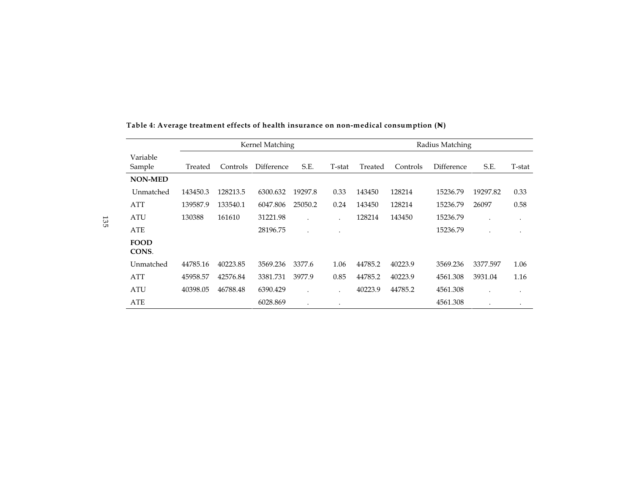|                      |          |          | Kernel Matching |           |        |         |          | Radius Matching |          |           |
|----------------------|----------|----------|-----------------|-----------|--------|---------|----------|-----------------|----------|-----------|
| Variable<br>Sample   | Treated  | Controls | Difference      | S.E.      | T-stat | Treated | Controls | Difference      | S.E.     | T-stat    |
| <b>NON-MED</b>       |          |          |                 |           |        |         |          |                 |          |           |
| Unmatched            | 143450.3 | 128213.5 | 6300.632        | 19297.8   | 0.33   | 143450  | 128214   | 15236.79        | 19297.82 | 0.33      |
| <b>ATT</b>           | 139587.9 | 133540.1 | 6047.806        | 25050.2   | 0.24   | 143450  | 128214   | 15236.79        | 26097    | 0.58      |
| <b>ATU</b>           | 130388   | 161610   | 31221.98        |           |        | 128214  | 143450   | 15236.79        |          | $\bullet$ |
| ATE                  |          |          | 28196.75        | $\bullet$ |        |         |          | 15236.79        |          |           |
| <b>FOOD</b><br>CONS. |          |          |                 |           |        |         |          |                 |          |           |
| Unmatched            | 44785.16 | 40223.85 | 3569.236        | 3377.6    | 1.06   | 44785.2 | 40223.9  | 3569.236        | 3377.597 | 1.06      |
| <b>ATT</b>           | 45958.57 | 42576.84 | 3381.731        | 3977.9    | 0.85   | 44785.2 | 40223.9  | 4561.308        | 3931.04  | 1.16      |
| <b>ATU</b>           | 40398.05 | 46788.48 | 6390.429        |           |        | 40223.9 | 44785.2  | 4561.308        |          | ٠         |
| ATE                  |          |          | 6028.869        |           |        |         |          | 4561.308        |          |           |

# **Table 4: Average treatment effects of health insurance on non-medical consumption (N= )**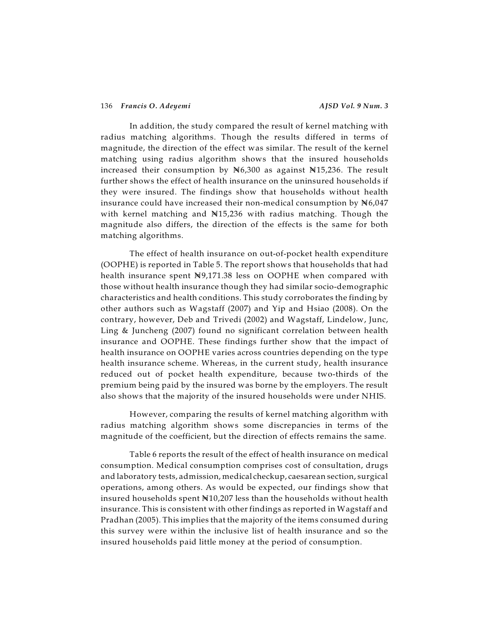In addition, the study compared the result of kernel matching with radius matching algorithms. Though the results differed in terms of magnitude, the direction of the effect was similar. The result of the kernel matching using radius algorithm shows that the insured households increased their consumption by  $N6,300$  as against  $N15,236$ . The result further shows the effect of health insurance on the uninsured households if they were insured. The findings show that households without health insurance could have increased their non-medical consumption by  $N6,047$ with kernel matching and N15,236 with radius matching. Though the magnitude also differs, the direction of the effects is the same for both matching algorithms.

The effect of health insurance on out-of-pocket health expenditure (OOPHE) is reported in Table 5. The report shows that households that had health insurance spent N9,171.38 less on OOPHE when compared with those without health insurance though they had similar socio-demographic characteristics and health conditions. This study corroborates the finding by other authors such as Wagstaff (2007) and Yip and Hsiao (2008). On the contrary, however, Deb and Trivedi (2002) and Wagstaff, Lindelow, Junc, Ling & Juncheng (2007) found no significant correlation between health insurance and OOPHE. These findings further show that the impact of health insurance on OOPHE varies across countries depending on the type health insurance scheme. Whereas, in the current study, health insurance reduced out of pocket health expenditure, because two-thirds of the premium being paid by the insured was borne by the employers. The result also shows that the majority of the insured households were under NHIS.

However, comparing the results of kernel matching algorithm with radius matching algorithm shows some discrepancies in terms of the magnitude of the coefficient, but the direction of effects remains the same.

Table 6 reports the result of the effect of health insurance on medical consumption. Medical consumption comprises cost of consultation, drugs and laboratory tests, admission, medical checkup, caesarean section, surgical operations, among others. As would be expected, our findings show that insured households spent  $N10,207$  less than the households without health insurance. This is consistent with other findings as reported in Wagstaff and Pradhan (2005). This implies that the majority of the items consumed during this survey were within the inclusive list of health insurance and so the insured households paid little money at the period of consumption.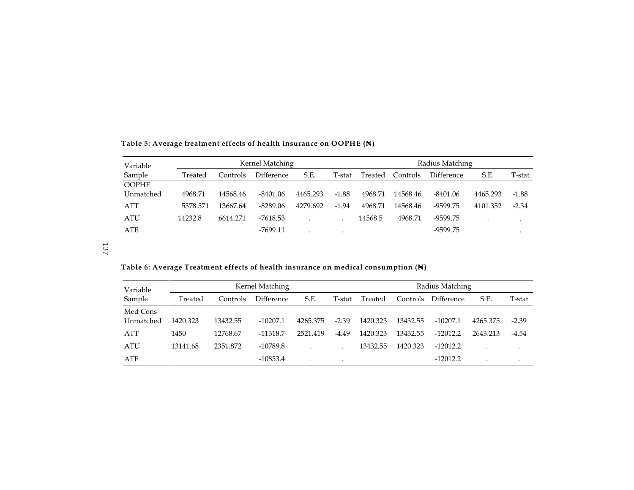| Variable     |          | Kernel Matching |            |          |         |         |          | Radius Matching   |          |         |
|--------------|----------|-----------------|------------|----------|---------|---------|----------|-------------------|----------|---------|
| Sample       | Treated  | Controls        | Difference | S.E.     | T-stat  | Treated | Controls | <b>Difference</b> | S.E.     | T-stat  |
| <b>OOPHE</b> |          |                 |            |          |         |         |          |                   |          |         |
| Unmatched    | 4968.71  | 14568.46        | $-8401.06$ | 4465.293 | $-1.88$ | 4968.71 | 14568.46 | $-8401.06$        | 4465.293 | $-1.88$ |
| ATT          | 5378.571 | 13667.64        | $-8289.06$ | 4279.692 | $-1.94$ | 4968.71 | 14568.46 | $-9599.75$        | 4101.352 | $-2.34$ |
| <b>ATU</b>   | 14232.8  | 6614.271        | -7618.53   |          |         | 14568.5 | 4968.71  | $-9599.75$        |          |         |
| ATE          |          |                 | -7699.11   |          |         |         |          | -9599.75          |          |         |

**Table 5: Average treatment effects of health insurance on OOPHE (N= )**

137

**Table 6: Average Treatment effects of health insurance on medical consumption (N= )**

| Variable              | Kernel Matching |          |                   |          |         |          |          |                   | Radius Matching |         |  |
|-----------------------|-----------------|----------|-------------------|----------|---------|----------|----------|-------------------|-----------------|---------|--|
| Sample                | Treated         | Controls | <b>Difference</b> | S.E.     | T-stat  | Treated  | Controls | <b>Difference</b> | S.E.            | T-stat  |  |
| Med Cons<br>Unmatched | 1420.323        | 13432.55 | $-10207.1$        | 4265.375 | $-2.39$ | 1420.323 | 13432.55 | $-10207.1$        | 4265.375        | $-2.39$ |  |
| ATT                   | 1450            | 12768.67 | $-11318.7$        | 2521.419 | $-4.49$ | 1420.323 | 13432.55 | $-12012.2$        | 2643.213        | $-4.54$ |  |
| ATU                   | 13141.68        | 2351.872 | -10789.8          |          |         | 13432.55 | 1420.323 | $-12012.2$        |                 |         |  |
| ATE                   |                 |          | $-10853.4$        |          |         |          |          | $-12012.2$        |                 |         |  |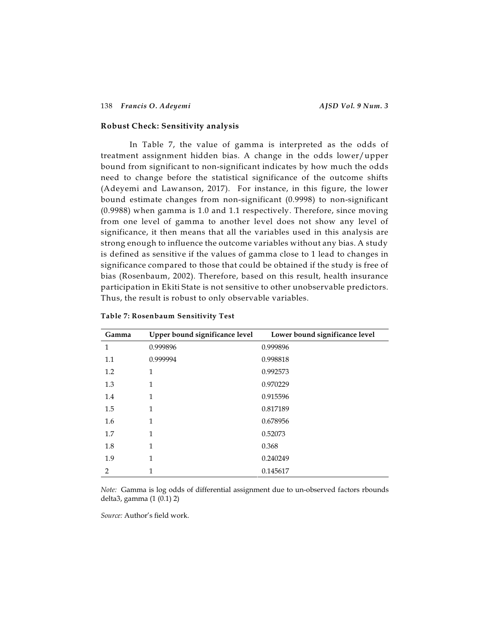#### **Robust Check: Sensitivity analysis**

In Table 7, the value of gamma is interpreted as the odds of treatment assignment hidden bias. A change in the odds lower/upper bound from significant to non-significant indicates by how much the odds need to change before the statistical significance of the outcome shifts (Adeyemi and Lawanson, 2017). For instance, in this figure, the lower bound estimate changes from non-significant (0.9998) to non-significant (0.9988) when gamma is 1.0 and 1.1 respectively. Therefore, since moving from one level of gamma to another level does not show any level of significance, it then means that all the variables used in this analysis are strong enough to influence the outcome variables without any bias. A study is defined as sensitive if the values of gamma close to 1 lead to changes in significance compared to those that could be obtained if the study is free of bias (Rosenbaum, 2002). Therefore, based on this result, health insurance participation in Ekiti State is not sensitive to other unobservable predictors. Thus, the result is robust to only observable variables.

| Gamma          | Upper bound significance level | Lower bound significance level |
|----------------|--------------------------------|--------------------------------|
| 1              | 0.999896                       | 0.999896                       |
| 1.1            | 0.999994                       | 0.998818                       |
| 1.2            | 1                              | 0.992573                       |
| 1.3            | 1                              | 0.970229                       |
| 1.4            | 1                              | 0.915596                       |
| 1.5            | 1                              | 0.817189                       |
| 1.6            | 1                              | 0.678956                       |
| 1.7            | 1                              | 0.52073                        |
| 1.8            | 1                              | 0.368                          |
| 1.9            | 1                              | 0.240249                       |
| $\mathfrak{D}$ | 1                              | 0.145617                       |

**Table 7: Rosenbaum Sensitivity Test**

*Note:* Gamma is log odds of differential assignment due to un-observed factors rbounds delta3, gamma (1 (0.1) 2)

*Source:* Author's field work.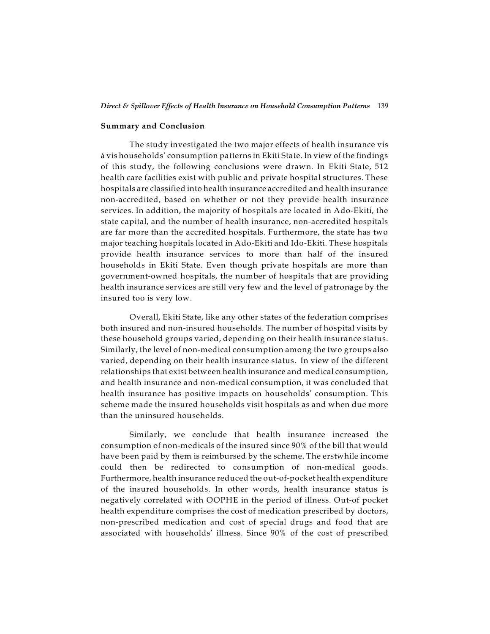#### **Summary and Conclusion**

The study investigated the two major effects of health insurance vis à vis households' consumption patterns in Ekiti State. In view of the findings of this study, the following conclusions were drawn. In Ekiti State, 512 health care facilities exist with public and private hospital structures. These hospitals are classified into health insurance accredited and health insurance non-accredited, based on whether or not they provide health insurance services. In addition, the majority of hospitals are located in Ado-Ekiti, the state capital, and the number of health insurance, non-accredited hospitals are far more than the accredited hospitals. Furthermore, the state has two major teaching hospitals located in Ado-Ekiti and Ido-Ekiti. These hospitals provide health insurance services to more than half of the insured households in Ekiti State. Even though private hospitals are more than government-owned hospitals, the number of hospitals that are providing health insurance services are still very few and the level of patronage by the insured too is very low.

Overall, Ekiti State, like any other states of the federation comprises both insured and non-insured households. The number of hospital visits by these household groups varied, depending on their health insurance status. Similarly, the level of non-medical consumption among the two groups also varied, depending on their health insurance status. In view of the different relationships that exist between health insurance and medical consumption, and health insurance and non-medical consumption, it was concluded that health insurance has positive impacts on households' consumption. This scheme made the insured households visit hospitals as and when due more than the uninsured households.

Similarly, we conclude that health insurance increased the consumption of non-medicals of the insured since 90% of the bill that would have been paid by them is reimbursed by the scheme. The erstwhile income could then be redirected to consumption of non-medical goods. Furthermore, health insurance reduced the out-of-pocket health expenditure of the insured households. In other words, health insurance status is negatively correlated with OOPHE in the period of illness. Out-of pocket health expenditure comprises the cost of medication prescribed by doctors, non-prescribed medication and cost of special drugs and food that are associated with households' illness. Since 90% of the cost of prescribed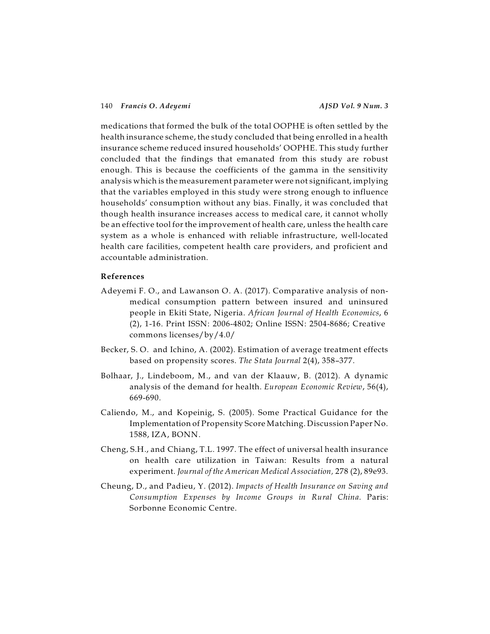medications that formed the bulk of the total OOPHE is often settled by the health insurance scheme, the study concluded that being enrolled in a health insurance scheme reduced insured households' OOPHE. This study further concluded that the findings that emanated from this study are robust enough. This is because the coefficients of the gamma in the sensitivity analysis which is the measurement parameter were not significant, implying that the variables employed in this study were strong enough to influence households' consumption without any bias. Finally, it was concluded that though health insurance increases access to medical care, it cannot wholly be an effective tool for the improvement of health care, unless the health care system as a whole is enhanced with reliable infrastructure, well-located health care facilities, competent health care providers, and proficient and accountable administration.

#### **References**

- Adeyemi F. O., and Lawanson O. A. (2017). Comparative analysis of nonmedical consumption pattern between insured and uninsured people in Ekiti State, Nigeria. *African Journal of Health Economics*, 6 (2), 1-16. Print ISSN: 2006-4802; Online ISSN: 2504-8686; Creative commons licenses/by/4.0/
- Becker, S. O. and Ichino, A. (2002). Estimation of average treatment effects based on propensity scores. *The Stata Journal* 2(4), 358–377.
- Bolhaar, J., Lindeboom, M., and van der Klaauw, B. (2012). A dynamic analysis of the demand for health. *European Economic Review*, 56(4), 669-690.
- Caliendo, M., and Kopeinig, S. (2005). Some Practical Guidance for the Implementation of Propensity Score Matching. Discussion Paper No. 1588, IZA, BONN.
- Cheng, S.H., and Chiang, T.L. 1997. The effect of universal health insurance on health care utilization in Taiwan: Results from a natural experiment. *Journal of the American Medical Association,* 278 (2), 89e93.
- Cheung, D., and Padieu, Y. (2012). *Impacts of Health Insurance on Saving and Consumption Expenses by Income Groups in Rural China*. Paris: Sorbonne Economic Centre.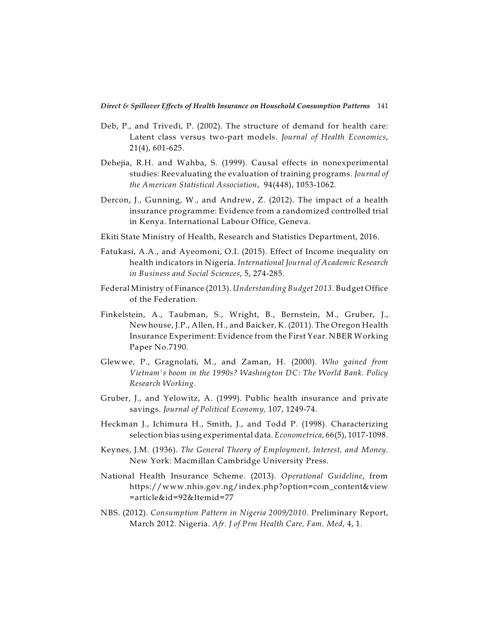- Deb, P., and Trivedi, P. (2002). The structure of demand for health care: Latent class versus two-part models. *Journal of Health Economics*, 21(4), 601-625.
- Dehejia, R.H. and Wahba, S. (1999). Causal effects in nonexperimental studies: Reevaluating the evaluation of training programs. *Journal of the American Statistical Association*, 94(448), 1053-1062.
- Dercon, J., Gunning, W., and Andrew, Z. (2012). The impact of a health insurance programme: Evidence from a randomized controlled trial in Kenya. International Labour Office, Geneva.
- Ekiti State Ministry of Health, Research and Statistics Department, 2016.
- Fatukasi, A.A., and Ayeomoni, O.I. (2015). Effect of Income inequality on health indicators in Nigeria. *International Journal of Academic Research in Business and Social Sciences*, 5, 274-285.
- Federal Ministry of Finance (2013). *Understanding Budget 2013*. Budget Office of the Federation.
- Finkelstein, A., Taubman, S., Wright, B., Bernstein, M., Gruber, J., Newhouse, J.P., Allen, H., and Baicker, K. (2011). The Oregon Health Insurance Experiment: Evidence from the First Year. NBER Working Paper No.7190.
- Glewwe, P., Gragnolati, M., and Zaman, H. (2000). *Who gained from Vietnam's boom in the 1990s? Washington DC: The World Bank. Policy Research Working.*
- Gruber, J., and Yelowitz, A. (1999). Public health insurance and private savings. *Journal of Political Economy,* 107, 1249-74.
- Heckman J., Ichimura H., Smith, J., and Todd P. (1998). Characterizing selection bias using experimental data. *Econometrica*, 66(5), 1017-1098.
- Keynes, J.M. (1936). *The General Theory of Employment, Interest, and Money*. New York: Macmillan Cambridge University Press.
- National Health Insurance Scheme. (2013). *Operational Guideline*, from https://www.nhis.gov.ng/index.php?option=com\_content&view =article&id=92&Itemid=77
- NBS. (2012). *Consumption Pattern in Nigeria 2009/2010*. Preliminary Report, March 2012. Nigeria. *Afr. J of Prm Health Care, Fam. Med*, 4, 1.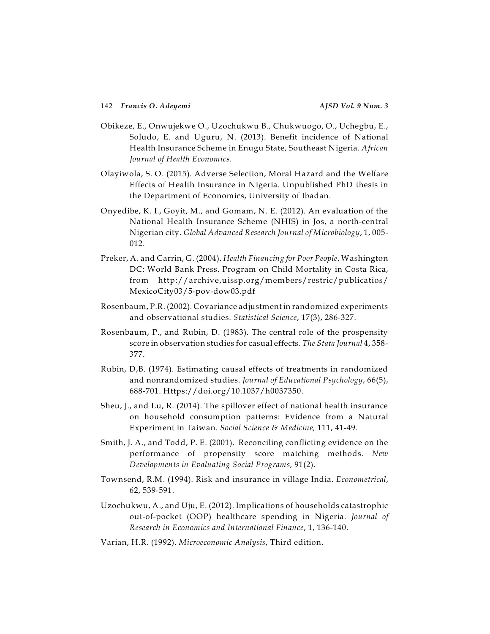- Obikeze, E., Onwujekwe O., Uzochukwu B., Chukwuogo, O., Uchegbu, E., Soludo, E. and Uguru, N. (2013). Benefit incidence of National Health Insurance Scheme in Enugu State, Southeast Nigeria. *African Journal of Health Economics*.
- Olayiwola, S. O. (2015). Adverse Selection, Moral Hazard and the Welfare Effects of Health Insurance in Nigeria. Unpublished PhD thesis in the Department of Economics, University of Ibadan.
- Onyedibe, K. I., Goyit, M., and Gomam, N. E. (2012). An evaluation of the National Health Insurance Scheme (NHIS) in Jos, a north-central Nigerian city. *Global Advanced Research Journal of Microbiology*, 1, 005- 012.
- Preker, A. and Carrin, G. (2004). *Health Financing for Poor People*. Washington DC: World Bank Press. Program on Child Mortality in Costa Rica, from http://archive,uissp.org/members/restric/publicatios/ MexicoCity03/5-pov-dow03.pdf
- Rosenbaum, P.R. (2002). Covariance adjustment in randomized experiments and observational studies. *Statistical Science*, 17(3), 286-327.
- Rosenbaum, P., and Rubin, D. (1983). The central role of the prospensity score in observation studies for casual effects. *The Stata Journal* 4, 358- 377.
- Rubin, D,B. (1974). Estimating causal effects of treatments in randomized and nonrandomized studies. *Journal of Educational Psychology*, 66(5), 688-701. Https://doi.org/10.1037/h0037350.
- Sheu, J., and Lu, R. (2014). The spillover effect of national health insurance on household consumption patterns: Evidence from a Natural Experiment in Taiwan. *Social Science & Medicine,* 111, 41-49.
- Smith, J. A., and Todd, P. E. (2001). Reconciling conflicting evidence on the performance of propensity score matching methods. *New Developments in Evaluating Social Programs,* 91(2).
- Townsend, R.M. (1994). Risk and insurance in village India. *Econometrical*, 62, 539-591.
- Uzochukwu, A., and Uju, E. (2012). Implications of households catastrophic out-of-pocket (OOP) healthcare spending in Nigeria. *Journal of Research in Economics and International Finance*, 1, 136-140.
- Varian, H.R. (1992). *Microeconomic Analysis*, Third edition.